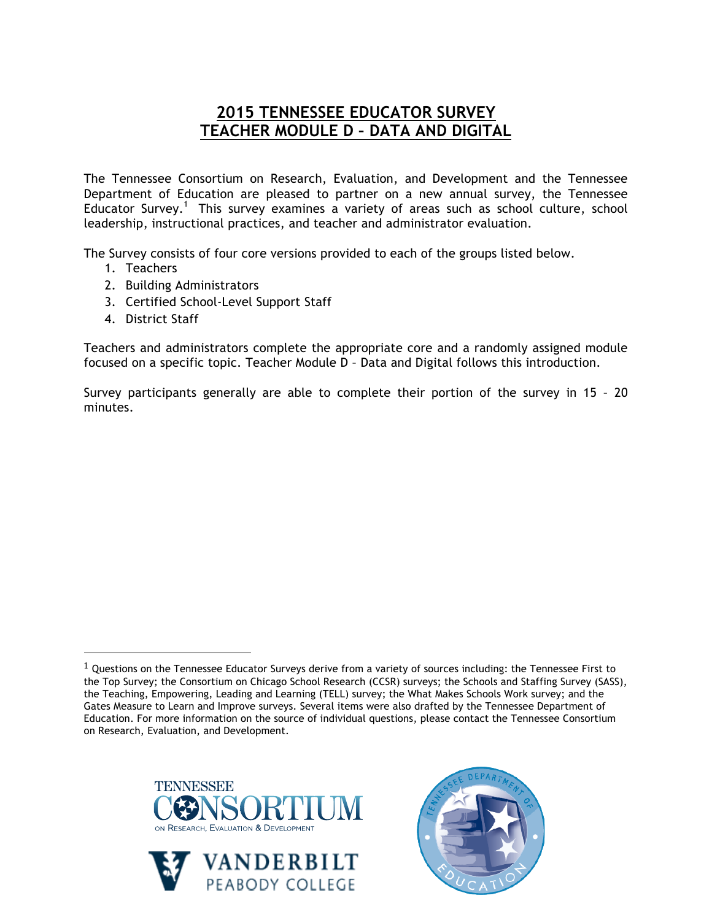## **2015 TENNESSEE EDUCATOR SURVEY TEACHER MODULE D – DATA AND DIGITAL**

The Tennessee Consortium on Research, Evaluation, and Development and the Tennessee Department of Education are pleased to partner on a new annual survey, the Tennessee Educator Survey.<sup>1</sup> This survey examines a variety of areas such as school culture, school leadership, instructional practices, and teacher and administrator evaluation.

The Survey consists of four core versions provided to each of the groups listed below.

- 1. Teachers
- 2. Building Administrators
- 3. Certified School-Level Support Staff
- 4. District Staff

!!!!!!!!!!!!!!!!!!!!!!!!!!!!!!!!!!!!!!!!!!!!!!!!!!!!!!!

Teachers and administrators complete the appropriate core and a randomly assigned module focused on a specific topic. Teacher Module D – Data and Digital follows this introduction.

Survey participants generally are able to complete their portion of the survey in 15 – 20 minutes.

 $1$  Questions on the Tennessee Educator Surveys derive from a variety of sources including: the Tennessee First to the Top Survey; the Consortium on Chicago School Research (CCSR) surveys; the Schools and Staffing Survey (SASS), the Teaching, Empowering, Leading and Learning (TELL) survey; the What Makes Schools Work survey; and the Gates Measure to Learn and Improve surveys. Several items were also drafted by the Tennessee Department of Education. For more information on the source of individual questions, please contact the Tennessee Consortium on Research, Evaluation, and Development.





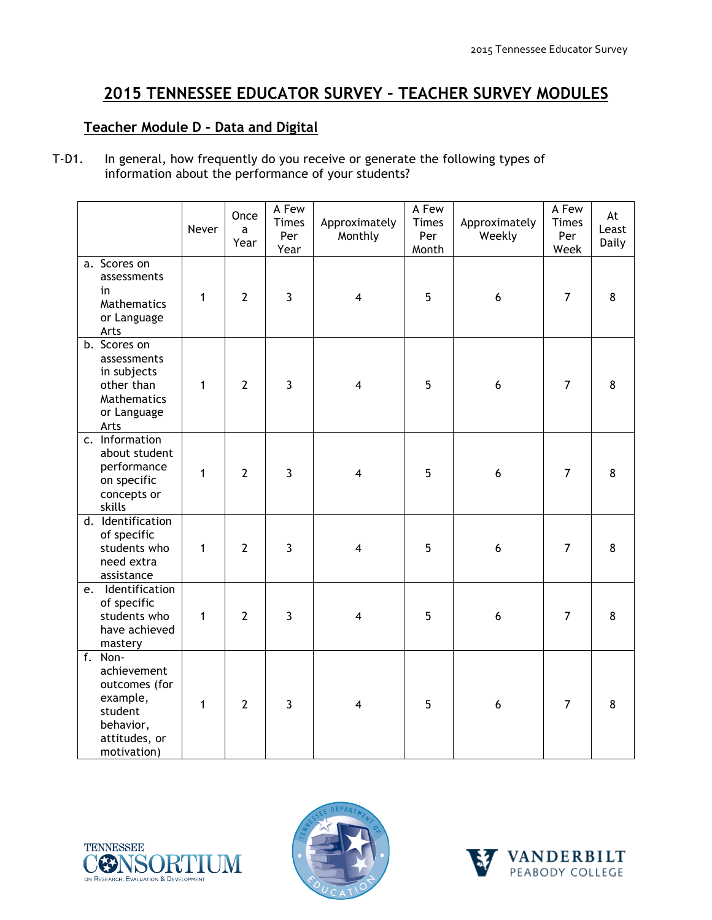## **2015 TENNESSEE EDUCATOR SURVEY – TEACHER SURVEY MODULES**

## **Teacher Module D - Data and Digital**

T-D1. In general, how frequently do you receive or generate the following types of information about the performance of your students?

|                                                                                                             | Never        | Once<br>a<br>Year | A Few<br><b>Times</b><br>Per<br>Year | Approximately<br>Monthly | A Few<br>Times<br>Per<br>Month | Approximately<br>Weekly | A Few<br><b>Times</b><br>Per<br>Week | At<br>Least<br>Daily |
|-------------------------------------------------------------------------------------------------------------|--------------|-------------------|--------------------------------------|--------------------------|--------------------------------|-------------------------|--------------------------------------|----------------------|
| a. Scores on<br>assessments<br>in<br>Mathematics<br>or Language<br>Arts                                     | $\mathbf{1}$ | $\overline{2}$    | $\overline{3}$                       | $\overline{\mathbf{4}}$  | 5                              | $6\phantom{1}6$         | $\overline{7}$                       | 8                    |
| b. Scores on<br>assessments<br>in subjects<br>other than<br>Mathematics<br>or Language<br>Arts              | $\mathbf{1}$ | $\overline{2}$    | $\overline{3}$                       | $\overline{\mathbf{4}}$  | 5                              | $\boldsymbol{6}$        | $\overline{7}$                       | 8                    |
| c. Information<br>about student<br>performance<br>on specific<br>concepts or<br>skills                      | 1            | $\overline{2}$    | $\overline{3}$                       | $\overline{\mathbf{4}}$  | 5                              | $6\phantom{1}6$         | $\overline{7}$                       | 8                    |
| d. Identification<br>of specific<br>students who<br>need extra<br>assistance                                | 1            | $\overline{2}$    | 3                                    | $\overline{4}$           | 5                              | $6\phantom{1}6$         | $\overline{7}$                       | 8                    |
| Identification<br>e.<br>of specific<br>students who<br>have achieved<br>mastery                             | $\mathbf{1}$ | $\overline{2}$    | $\overline{3}$                       | $\overline{\mathbf{4}}$  | 5                              | 6                       | $\overline{7}$                       | 8                    |
| f. Non-<br>achievement<br>outcomes (for<br>example,<br>student<br>behavior,<br>attitudes, or<br>motivation) | 1            | $\overline{2}$    | $\mathbf{3}$                         | $\overline{\mathbf{4}}$  | 5                              | 6                       | $\overline{7}$                       | 8                    |





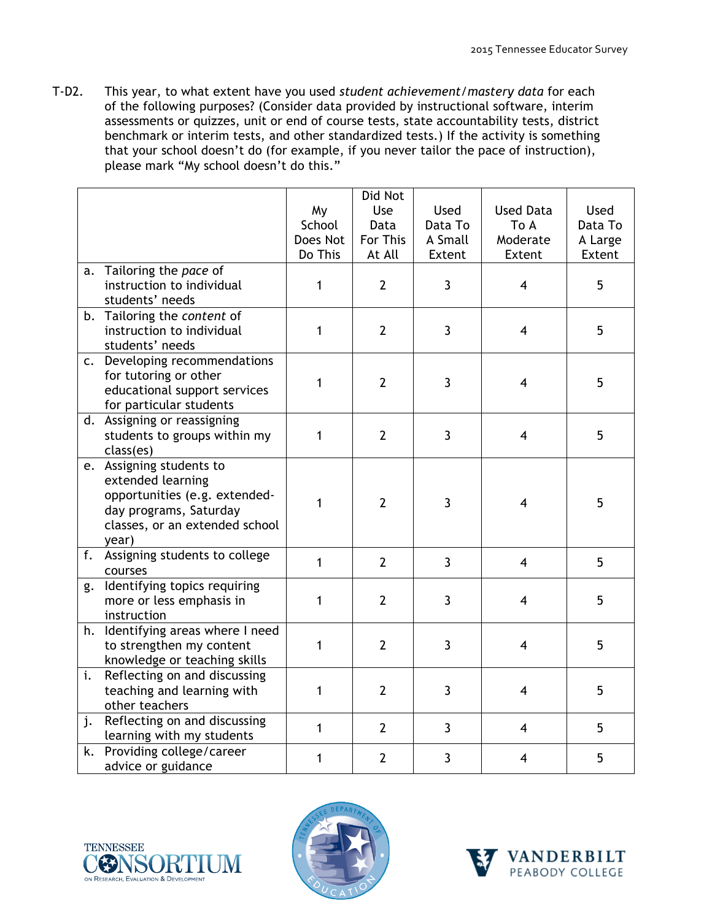T-D2. This year, to what extent have you used *student achievement/mastery data* for each of the following purposes? (Consider data provided by instructional software, interim assessments or quizzes, unit or end of course tests, state accountability tests, district benchmark or interim tests, and other standardized tests.) If the activity is something that your school doesn't do (for example, if you never tailor the pace of instruction), please mark "My school doesn't do this."

|    |                                   |              | Did Not        |                |                         |             |
|----|-----------------------------------|--------------|----------------|----------------|-------------------------|-------------|
|    |                                   | My           | Use            | Used           | <b>Used Data</b>        | <b>Used</b> |
|    |                                   | School       | Data           | Data To        | To A                    | Data To     |
|    |                                   | Does Not     | For This       | A Small        | Moderate                | A Large     |
|    |                                   | Do This      | At All         | Extent         | Extent                  | Extent      |
| a. | Tailoring the pace of             |              |                |                |                         |             |
|    | instruction to individual         | 1            | $\overline{2}$ | $\mathbf{3}$   | $\overline{4}$          | 5           |
|    | students' needs                   |              |                |                |                         |             |
|    | b. Tailoring the content of       |              |                |                |                         |             |
|    | instruction to individual         | 1            | $\overline{2}$ | $\mathbf{3}$   | $\overline{\mathbf{4}}$ | 5           |
|    | students' needs                   |              |                |                |                         |             |
|    | c. Developing recommendations     |              |                |                |                         |             |
|    | for tutoring or other             | 1            | $\overline{2}$ | $\overline{3}$ | $\overline{\mathbf{4}}$ | 5           |
|    | educational support services      |              |                |                |                         |             |
|    | for particular students           |              |                |                |                         |             |
|    | d. Assigning or reassigning       |              |                |                |                         |             |
|    | students to groups within my      | 1            | $\overline{2}$ | $\overline{3}$ | $\overline{4}$          | 5           |
|    | class(es)                         |              |                |                |                         |             |
|    | e. Assigning students to          |              |                |                |                         |             |
|    | extended learning                 |              |                |                |                         |             |
|    | opportunities (e.g. extended-     | 1            | $\overline{2}$ | 3              | 4                       | 5           |
|    | day programs, Saturday            |              |                |                |                         |             |
|    | classes, or an extended school    |              |                |                |                         |             |
|    | year)                             |              |                |                |                         |             |
| f. | Assigning students to college     | $\mathbf{1}$ | $\overline{2}$ | $\overline{3}$ | $\overline{\mathbf{4}}$ | 5           |
|    | courses                           |              |                |                |                         |             |
| g. | Identifying topics requiring      |              |                |                |                         |             |
|    | more or less emphasis in          | 1            | $\overline{2}$ | 3              | $\overline{\mathbf{4}}$ | 5           |
|    | instruction                       |              |                |                |                         |             |
|    | h. Identifying areas where I need |              |                |                |                         |             |
|    | to strengthen my content          | 1            | $\overline{2}$ | 3              | $\overline{4}$          | 5           |
|    | knowledge or teaching skills      |              |                |                |                         |             |
| i. | Reflecting on and discussing      |              |                |                |                         |             |
|    | teaching and learning with        | 1            | $\overline{2}$ | $\overline{3}$ | $\overline{4}$          | 5           |
|    | other teachers                    |              |                |                |                         |             |
| j. | Reflecting on and discussing      | $\mathbf{1}$ | $\overline{2}$ | $\overline{3}$ | $\overline{4}$          | 5           |
|    | learning with my students         |              |                |                |                         |             |
| k. | Providing college/career          | 1            | $\overline{2}$ | 3              | $\overline{4}$          | 5           |
|    | advice or guidance                |              |                |                |                         |             |





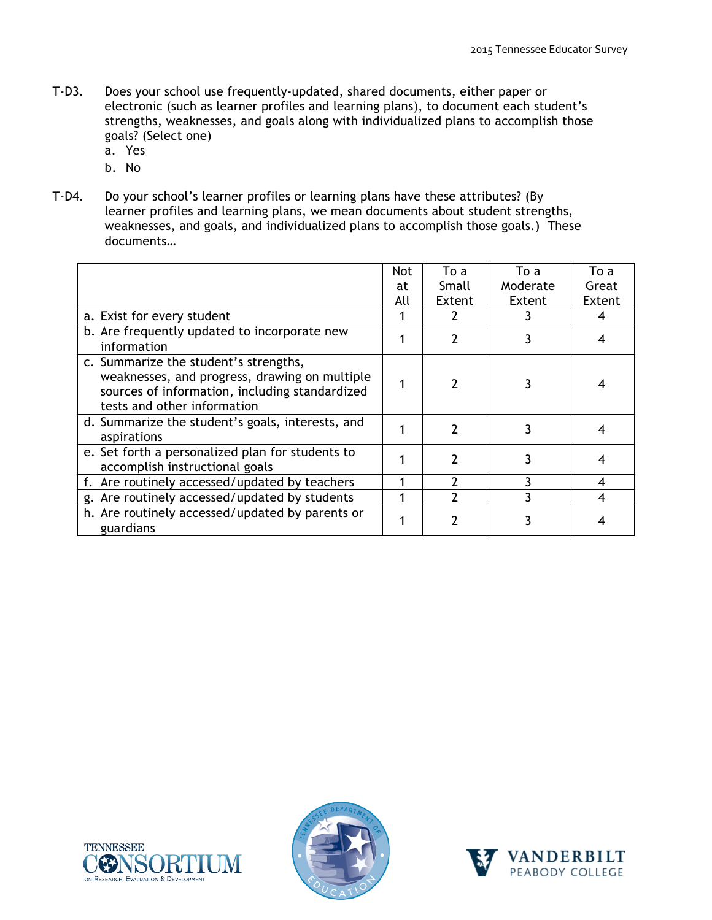- T-D3. Does your school use frequently-updated, shared documents, either paper or electronic (such as learner profiles and learning plans), to document each student's strengths, weaknesses, and goals along with individualized plans to accomplish those goals? (Select one)
	- a. Yes
	- b. No
- T-D4. Do your school's learner profiles or learning plans have these attributes? (By learner profiles and learning plans, we mean documents about student strengths, weaknesses, and goals, and individualized plans to accomplish those goals.) These documents…

|                                                                                                                                                                         | <b>Not</b> | To a          | To a     | To a   |
|-------------------------------------------------------------------------------------------------------------------------------------------------------------------------|------------|---------------|----------|--------|
|                                                                                                                                                                         | at         | Small         | Moderate | Great  |
|                                                                                                                                                                         | All        | Extent        | Extent   | Extent |
| a. Exist for every student                                                                                                                                              |            |               |          | 4      |
| b. Are frequently updated to incorporate new<br>information                                                                                                             |            | $\mathcal{P}$ |          |        |
| c. Summarize the student's strengths,<br>weaknesses, and progress, drawing on multiple<br>sources of information, including standardized<br>tests and other information |            | $\mathcal{P}$ |          |        |
| d. Summarize the student's goals, interests, and<br>aspirations                                                                                                         |            | $\mathcal{P}$ | 3        |        |
| e. Set forth a personalized plan for students to<br>accomplish instructional goals                                                                                      |            | 2             | 3        |        |
| f. Are routinely accessed/updated by teachers                                                                                                                           |            |               | ٦        |        |
| g. Are routinely accessed/updated by students                                                                                                                           |            |               |          | 4      |
| h. Are routinely accessed/updated by parents or<br>guardians                                                                                                            |            |               |          |        |





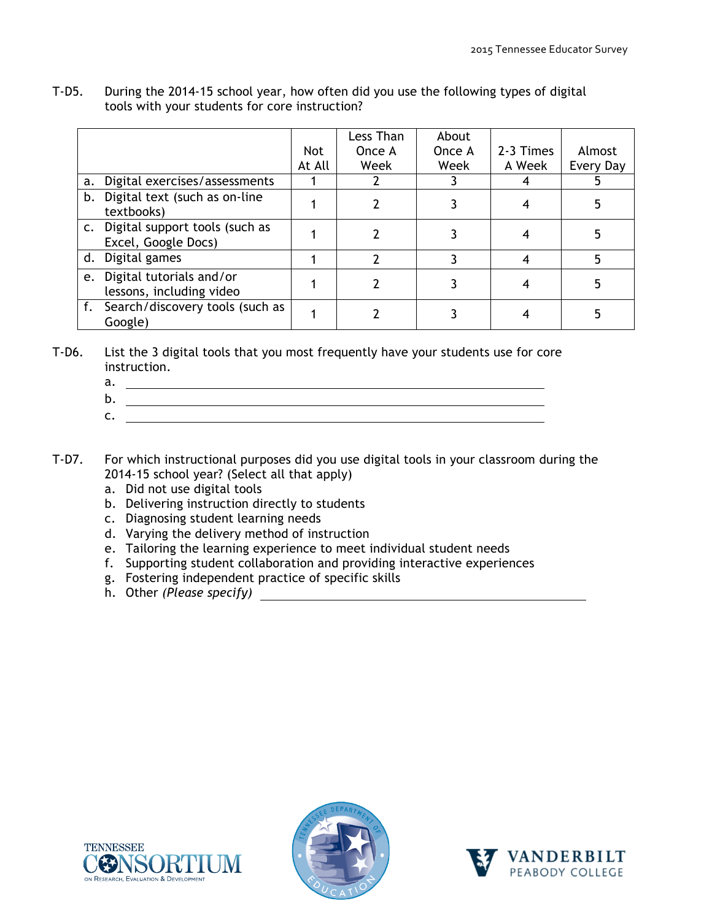|    |                                                          | <b>Not</b> | Less Than<br>Once A | About<br>Once A | 2-3 Times | Almost    |
|----|----------------------------------------------------------|------------|---------------------|-----------------|-----------|-----------|
|    |                                                          | At All     | Week                | Week            | A Week    | Every Day |
| a. | Digital exercises/assessments                            |            |                     |                 |           |           |
| b. | Digital text (such as on-line<br>textbooks)              |            |                     |                 |           |           |
|    | c. Digital support tools (such as<br>Excel, Google Docs) |            |                     |                 |           |           |
|    | d. Digital games                                         |            |                     |                 |           |           |
|    | e. Digital tutorials and/or<br>lessons, including video  |            |                     |                 |           |           |
| f. | Search/discovery tools (such as<br>Google)               |            |                     |                 |           |           |

T-D5. During the 2014-15 school year, how often did you use the following types of digital tools with your students for core instruction?

T-D6. List the 3 digital tools that you most frequently have your students use for core instruction.

- a.
- b. c.
- T-D7. For which instructional purposes did you use digital tools in your classroom during the 2014-15 school year? (Select all that apply)
	- a. Did not use digital tools
	- b. Delivering instruction directly to students
	- c. Diagnosing student learning needs
	- d. Varying the delivery method of instruction
	- e. Tailoring the learning experience to meet individual student needs
	- f. Supporting student collaboration and providing interactive experiences
	- g. Fostering independent practice of specific skills
	- h. Other *(Please specify)*